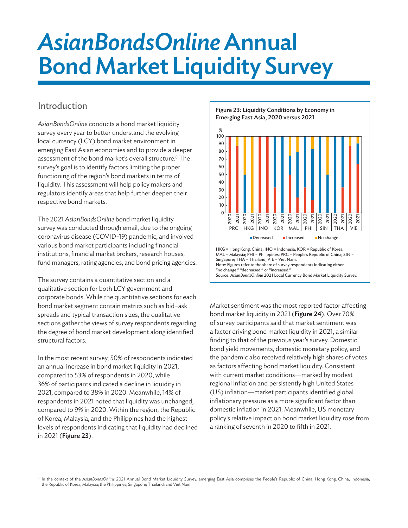# AsianBondsOnline Annual Bond Market Liquidity Survey

# Introduction

*AsianBondsOnline* conducts a bond market liquidity survey every year to better understand the evolving local currency (LCY) bond market environment in emerging East Asian economies and to provide a deeper assessment of the bond market's overall structure.<sup>8</sup> The survey's goal is to identify factors limiting the proper functioning of the region's bond markets in terms of liquidity. This assessment will help policy makers and regulators identify areas that help further deepen their respective bond markets.

The 2021 *AsianBondsOnline* bond market liquidity survey was conducted through email, due to the ongoing coronavirus disease (COVID-19) pandemic, and involved various bond market participants including financial institutions, financial market brokers, research houses, fund managers, rating agencies, and bond pricing agencies.

The survey contains a quantitative section and a qualitative section for both LCY government and corporate bonds. While the quantitative sections for each bond market segment contain metrics such as bid–ask spreads and typical transaction sizes, the qualitative sections gather the views of survey respondents regarding the degree of bond market development along identified structural factors.

In the most recent survey, 50% of respondents indicated an annual increase in bond market liquidity in 2021, compared to 53% of respondents in 2020, while 36% of participants indicated a decline in liquidity in 2021, compared to 38% in 2020. Meanwhile, 14% of respondents in 2021 noted that liquidity was unchanged, compared to 9% in 2020. Within the region, the Republic of Korea, Malaysia, and the Philippines had the highest levels of respondents indicating that liquidity had declined in 2021 (Figure 23).

Figure 23: Liquidity Conditions by Economy in Emerging East Asia, 2020 versus 2021



HKG = Hong Kong, China; INO = Indonesia; KOR = Republic of Korea; MAL = Malaysia; PHI = Philippines; PRC = People's Republic of China; SIN = Singapore; THA = Thailand; VIE = Viet Nam. Note: Figures refer to the share of survey respondents indicating either "no change," "decreased," or "increased." Source: *AsianBondsOnline* 2021 Local Currency Bond Market Liquidity Survey.

Market sentiment was the most reported factor affecting bond market liquidity in 2021 (Figure 24). Over 70% of survey participants said that market sentiment was a factor driving bond market liquidity in 2021, a similar finding to that of the previous year's survey. Domestic bond yield movements, domestic monetary policy, and the pandemic also received relatively high shares of votes as factors affecting bond market liquidity. Consistent with current market conditions—marked by modest regional inflation and persistently high United States (US) inflation—market participants identified global inflationary pressure as a more significant factor than domestic inflation in 2021. Meanwhile, US monetary policy's relative impact on bond market liquidity rose from a ranking of seventh in 2020 to fifth in 2021.

<sup>&</sup>lt;sup>8</sup> In the context of the AsianBondsOnline 2021 Annual Bond Market Liquidity Survey, emerging East Asia comprises the People's Republic of China; Hong Kong, China; Indonesia; the Republic of Korea; Malaysia; the Philippines; Singapore; Thailand; and Viet Nam.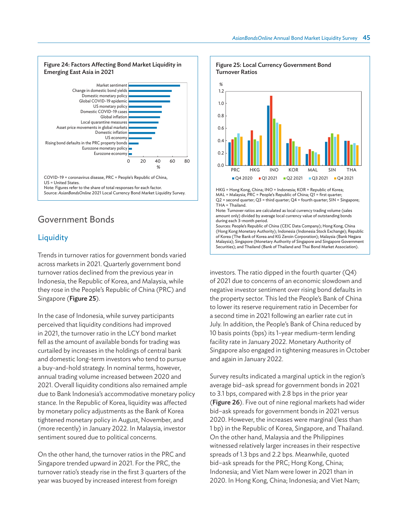

## Government Bonds

#### **Liquidity**

Trends in turnover ratios for government bonds varied across markets in 2021. Quarterly government bond turnover ratios declined from the previous year in Indonesia, the Republic of Korea, and Malaysia, while they rose in the People's Republic of China (PRC) and Singapore (Figure 25).

In the case of Indonesia, while survey participants perceived that liquidity conditions had improved in 2021, the turnover ratio in the LCY bond market fell as the amount of available bonds for trading was curtailed by increases in the holdings of central bank and domestic long-term investors who tend to pursue a buy-and-hold strategy. In nominal terms, however, annual trading volume increased between 2020 and 2021. Overall liquidity conditions also remained ample due to Bank Indonesia's accommodative monetary policy stance. In the Republic of Korea, liquidity was affected by monetary policy adjustments as the Bank of Korea tightened monetary policy in August, November, and (more recently) in January 2022. In Malaysia, investor sentiment soured due to political concerns.

On the other hand, the turnover ratios in the PRC and Singapore trended upward in 2021. For the PRC, the turnover ratio's steady rise in the first 3 quarters of the year was buoyed by increased interest from foreign



HKG = Hong Kong, China; INO = Indonesia; KOR = Republic of Korea; MAL = Malaysia; PRC = People's Republic of China; Q1 = first quarter; Q2 = second quarter; Q3 = third quarter; Q4 = fourth quarter; SIN = Singapore; THA = Thailand.

Note: Turnover ratios are calculated as local currency trading volume (sales amount only) divided by average local currency value of outstanding bonds during each 3-month period.

Sources: People's Republic of China (CEIC Data Company); Hong Kong, China (Hong Kong Monetary Authority); Indonesia (Indonesia Stock Exchange); Republic of Korea (The Bank of Korea and KG Zeroin Corporation); Malaysia (Bank Negara Malaysia); Singapore (Monetary Authority of Singapore and Singapore Government Securities); and Thailand (Bank of Thailand and Thai Bond Market Association).

investors. The ratio dipped in the fourth quarter (Q4) of 2021 due to concerns of an economic slowdown and negative investor sentiment over rising bond defaults in the property sector. This led the People's Bank of China to lower its reserve requirement ratio in December for a second time in 2021 following an earlier rate cut in July. In addition, the People's Bank of China reduced by 10 basis points (bps) its 1-year medium-term lending facility rate in January 2022. Monetary Authority of Singapore also engaged in tightening measures in October and again in January 2022.

Survey results indicated a marginal uptick in the region's average bid–ask spread for government bonds in 2021 to 3.1 bps, compared with 2.8 bps in the prior year (Figure 26). Five out of nine regional markets had wider bid–ask spreads for government bonds in 2021 versus 2020. However, the increases were marginal (less than 1 bp) in the Republic of Korea, Singapore, and Thailand. On the other hand, Malaysia and the Philippines witnessed relatively larger increases in their respective spreads of 1.3 bps and 2.2 bps. Meanwhile, quoted bid–ask spreads for the PRC; Hong Kong, China; Indonesia; and Viet Nam were lower in 2021 than in 2020. In Hong Kong, China; Indonesia; and Viet Nam;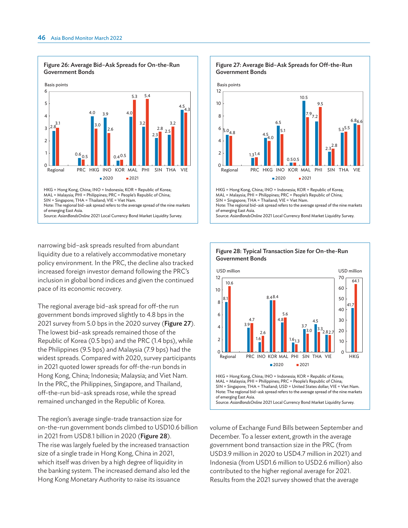

narrowing bid–ask spreads resulted from abundant liquidity due to a relatively accommodative monetary policy environment. In the PRC, the decline also tracked increased foreign investor demand following the PRC's inclusion in global bond indices and given the continued pace of its economic recovery.

The regional average bid–ask spread for off-the run government bonds improved slightly to 4.8 bps in the 2021 survey from 5.0 bps in the 2020 survey (Figure 27). The lowest bid–ask spreads remained those of the Republic of Korea (0.5 bps) and the PRC (1.4 bps), while the Philippines (9.5 bps) and Malaysia (7.9 bps) had the widest spreads. Compared with 2020, survey participants in 2021 quoted lower spreads for off-the-run bonds in Hong Kong, China; Indonesia; Malaysia; and Viet Nam. In the PRC, the Philippines, Singapore, and Thailand, off-the-run bid–ask spreads rose, while the spread remained unchanged in the Republic of Korea.

The region's average single-trade transaction size for on-the-run government bonds climbed to USD10.6 billion in 2021 from USD8.1 billion in 2020 (Figure 28). The rise was largely fueled by the increased transaction size of a single trade in Hong Kong, China in 2021, which itself was driven by a high degree of liquidity in the banking system. The increased demand also led the Hong Kong Monetary Authority to raise its issuance





volume of Exchange Fund Bills between September and December. To a lesser extent, growth in the average government bond transaction size in the PRC (from USD3.9 million in 2020 to USD4.7 million in 2021) and Indonesia (from USD1.6 million to USD2.6 million) also contributed to the higher regional average for 2021. Results from the 2021 survey showed that the average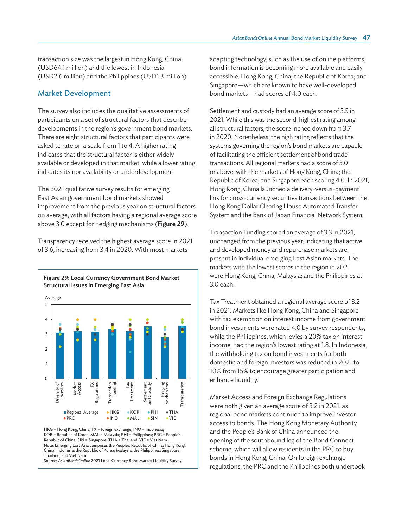transaction size was the largest in Hong Kong, China (USD64.1 million) and the lowest in Indonesia (USD2.6 million) and the Philippines (USD1.3 million).

#### Market Development

The survey also includes the qualitative assessments of participants on a set of structural factors that describe developments in the region's government bond markets. There are eight structural factors that participants were asked to rate on a scale from 1 to 4. A higher rating indicates that the structural factor is either widely available or developed in that market, while a lower rating indicates its nonavailability or underdevelopment.

The 2021 qualitative survey results for emerging East Asian government bond markets showed improvement from the previous year on structural factors on average, with all factors having a regional average score above 3.0 except for hedging mechanisms (Figure 29).

Transparency received the highest average score in 2021 of 3.6, increasing from 3.4 in 2020. With most markets



HKG = Hong Kong, China; FX = foreign exchange; INO = Indonesia; KOR = Republic of Korea; MAL = Malaysia; PHI = Philippines; PRC = People's Republic of China; SIN = Singapore; THA = Thailand; VIE = Viet Nam. Note: Emerging East Asia comprises the People's Republic of China; Hong Kong, China; Indonesia; the Republic of Korea; Malaysia; the Philippines; Singapore; Thailand; and Viet Nam.

Source: *AsianBondsOnline* 2021 Local Currency Bond Market Liquidity Survey.

adapting technology, such as the use of online platforms, bond information is becoming more available and easily accessible. Hong Kong, China; the Republic of Korea; and Singapore—which are known to have well-developed bond markets—had scores of 4.0 each.

Settlement and custody had an average score of 3.5 in 2021. While this was the second-highest rating among all structural factors, the score inched down from 3.7 in 2020. Nonetheless, the high rating reflects that the systems governing the region's bond markets are capable of facilitating the efficient settlement of bond trade transactions. All regional markets had a score of 3.0 or above, with the markets of Hong Kong, China; the Republic of Korea; and Singapore each scoring 4.0. In 2021, Hong Kong, China launched a delivery-versus-payment link for cross-currency securities transactions between the Hong Kong Dollar Clearing House Automated Transfer System and the Bank of Japan Financial Network System.

Transaction Funding scored an average of 3.3 in 2021, unchanged from the previous year, indicating that active and developed money and repurchase markets are present in individual emerging East Asian markets. The markets with the lowest scores in the region in 2021 were Hong Kong, China; Malaysia; and the Philippines at 3.0 each.

Tax Treatment obtained a regional average score of 3.2 in 2021. Markets like Hong Kong, China and Singapore with tax exemption on interest income from government bond investments were rated 4.0 by survey respondents, while the Philippines, which levies a 20% tax on interest income, had the region's lowest rating at 1.8. In Indonesia, the withholding tax on bond investments for both domestic and foreign investors was reduced in 2021 to 10% from 15% to encourage greater participation and enhance liquidity.

Market Access and Foreign Exchange Regulations were both given an average score of 3.2 in 2021, as regional bond markets continued to improve investor access to bonds. The Hong Kong Monetary Authority and the People's Bank of China announced the opening of the southbound leg of the Bond Connect scheme, which will allow residents in the PRC to buy bonds in Hong Kong, China. On foreign exchange regulations, the PRC and the Philippines both undertook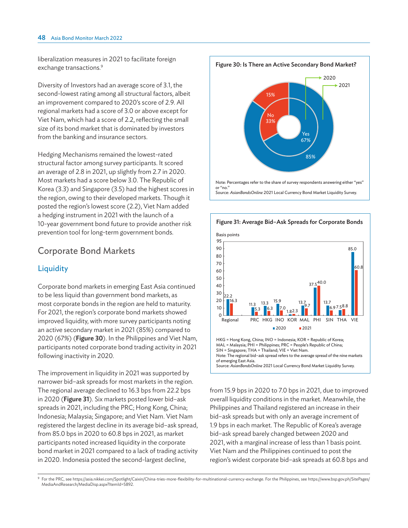liberalization measures in 2021 to facilitate foreign exchange transactions.<sup>9</sup>

Diversity of Investors had an average score of 3.1, the second-lowest rating among all structural factors, albeit an improvement compared to 2020's score of 2.9. All regional markets had a score of 3.0 or above except for Viet Nam, which had a score of 2.2, reflecting the small size of its bond market that is dominated by investors from the banking and insurance sectors.

Hedging Mechanisms remained the lowest-rated structural factor among survey participants. It scored an average of 2.8 in 2021, up slightly from 2.7 in 2020. Most markets had a score below 3.0. The Republic of Korea (3.3) and Singapore (3.5) had the highest scores in the region, owing to their developed markets. Though it posted the region's lowest score (2.2), Viet Nam added a hedging instrument in 2021 with the launch of a 10-year government bond future to provide another risk prevention tool for long-term government bonds.

## Corporate Bond Markets

### **Liquidity**

Corporate bond markets in emerging East Asia continued to be less liquid than government bond markets, as most corporate bonds in the region are held to maturity. For 2021, the region's corporate bond markets showed improved liquidity, with more survey participants noting an active secondary market in 2021 (85%) compared to 2020 (67%) (Figure 30). In the Philippines and Viet Nam, participants noted corporate bond trading activity in 2021 following inactivity in 2020.

The improvement in liquidity in 2021 was supported by narrower bid–ask spreads for most markets in the region. The regional average declined to 16.3 bps from 22.2 bps in 2020 (Figure 31). Six markets posted lower bid–ask spreads in 2021, including the PRC; Hong Kong, China; Indonesia; Malaysia; Singapore; and Viet Nam. Viet Nam registered the largest decline in its average bid–ask spread, from 85.0 bps in 2020 to 60.8 bps in 2021, as market participants noted increased liquidity in the corporate bond market in 2021 compared to a lack of trading activity in 2020. Indonesia posted the second-largest decline,





from 15.9 bps in 2020 to 7.0 bps in 2021, due to improved overall liquidity conditions in the market. Meanwhile, the Philippines and Thailand registered an increase in their bid–ask spreads but with only an average increment of 1.9 bps in each market. The Republic of Korea's average bid–ask spread barely changed between 2020 and 2021, with a marginal increase of less than 1 basis point. Viet Nam and the Philippines continued to post the region's widest corporate bid–ask spreads at 60.8 bps and

9 For the PRC, see <https://asia.nikkei.com/Spotlight/Caixin/China-tries-more-flexibility-for-multinational-currency-exchange>. For the Philippines, see [https://www.bsp.gov.ph/SitePages/](https://www.bsp.gov.ph/SitePages/MediaAndResearch/MediaDisp.aspx?ItemId=5892) [MediaAndResearch/MediaDisp.aspx?ItemId=5892.](https://www.bsp.gov.ph/SitePages/MediaAndResearch/MediaDisp.aspx?ItemId=5892)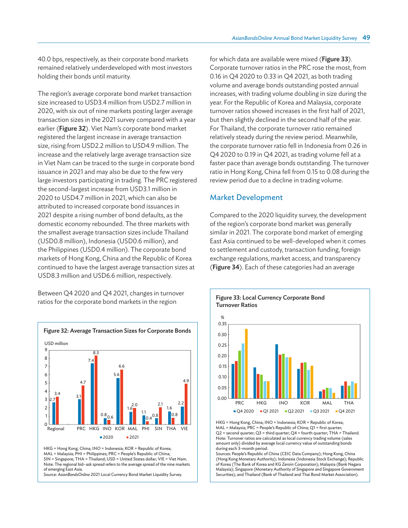40.0 bps, respectively, as their corporate bond markets remained relatively underdeveloped with most investors holding their bonds until maturity.

The region's average corporate bond market transaction size increased to USD3.4 million from USD2.7 million in 2020, with six out of nine markets posting larger average transaction sizes in the 2021 survey compared with a year earlier (Figure 32). Viet Nam's corporate bond market registered the largest increase in average transaction size, rising from USD2.2 million to USD4.9 million. The increase and the relatively large average transaction size in Viet Nam can be traced to the surge in corporate bond issuance in 2021 and may also be due to the few very large investors participating in trading. The PRC registered the second-largest increase from USD3.1 million in 2020 to USD4.7 million in 2021, which can also be attributed to increased corporate bond issuances in 2021 despite a rising number of bond defaults, as the domestic economy rebounded. The three markets with the smallest average transaction sizes include Thailand (USD0.8 million), Indonesia (USD0.6 million), and the Philippines (USD0.4 million). The corporate bond markets of Hong Kong, China and the Republic of Korea continued to have the largest average transaction sizes at USD8.3 million and USD6.6 million, respectively.

Between Q4 2020 and Q4 2021, changes in turnover ratios for the corporate bond markets in the region



HKG = Hong Kong, China; INO = Indonesia; KOR = Republic of Korea; MAL = Malaysia; PHI = Philippines; PRC = People's Republic of China; SIN = Singapore; THA = Thailand; USD = United States dollar; VIE = Viet Nam. Note: The regional bid–ask spread refers to the average spread of the nine markets of emerging East Asia.

Source: *AsianBondsOnline* 2021 Local Currency Bond Market Liquidity Survey.

for which data are available were mixed (Figure 33). Corporate turnover ratios in the PRC rose the most, from 0.16 in Q4 2020 to 0.33 in Q4 2021, as both trading volume and average bonds outstanding posted annual increases, with trading volume doubling in size during the year. For the Republic of Korea and Malaysia, corporate turnover ratios showed increases in the first half of 2021, but then slightly declined in the second half of the year. For Thailand, the corporate turnover ratio remained relatively steady during the review period. Meanwhile, the corporate turnover ratio fell in Indonesia from 0.26 in Q4 2020 to 0.19 in Q4 2021, as trading volume fell at a faster pace than average bonds outstanding. The turnover ratio in Hong Kong, China fell from 0.15 to 0.08 during the review period due to a decline in trading volume.

#### Market Development

Compared to the 2020 liquidity survey, the development of the region's corporate bond market was generally similar in 2021. The corporate bond market of emerging East Asia continued to be well-developed when it comes to settlement and custody, transaction funding, foreign exchange regulations, market access, and transparency (Figure 34). Each of these categories had an average



HKG = Hong Kong, China; INO = Indonesia; KOR = Republic of Korea; MAL = Malaysia; PRC = People's Republic of China; Q1 = first quarter; Q2 = second quarter; Q3 = third quarter; Q4 = fourth quarter; THA = Thailand. Note: Turnover ratios are calculated as local currency trading volume (sales amount only) divided by average local currency value of outstanding bonds during each 3-month period.

Sources: People's Republic of China (CEIC Data Company); Hong Kong, China (Hong Kong Monetary Authority); Indonesia (Indonesia Stock Exchange); Republic of Korea (The Bank of Korea and KG Zeroin Corporation); Malaysia (Bank Negara Malaysia); Singapore (Monetary Authority of Singapore and Singapore Government Securities); and Thailand (Bank of Thailand and Thai Bond Market Association).